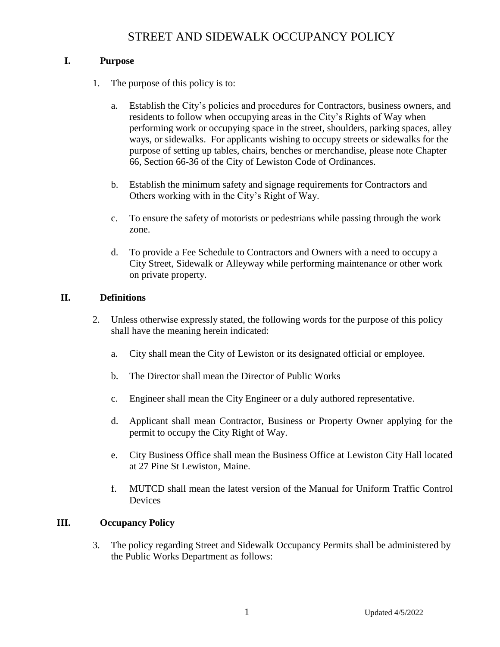### **I. Purpose**

- 1. The purpose of this policy is to:
	- a. Establish the City's policies and procedures for Contractors, business owners, and residents to follow when occupying areas in the City's Rights of Way when performing work or occupying space in the street, shoulders, parking spaces, alley ways, or sidewalks. For applicants wishing to occupy streets or sidewalks for the purpose of setting up tables, chairs, benches or merchandise, please note Chapter 66, Section 66-36 of the City of Lewiston Code of Ordinances.
	- b. Establish the minimum safety and signage requirements for Contractors and Others working with in the City's Right of Way.
	- c. To ensure the safety of motorists or pedestrians while passing through the work zone.
	- d. To provide a Fee Schedule to Contractors and Owners with a need to occupy a City Street, Sidewalk or Alleyway while performing maintenance or other work on private property.

### **II. Definitions**

- 2. Unless otherwise expressly stated, the following words for the purpose of this policy shall have the meaning herein indicated:
	- a. City shall mean the City of Lewiston or its designated official or employee.
	- b. The Director shall mean the Director of Public Works
	- c. Engineer shall mean the City Engineer or a duly authored representative.
	- d. Applicant shall mean Contractor, Business or Property Owner applying for the permit to occupy the City Right of Way.
	- e. City Business Office shall mean the Business Office at Lewiston City Hall located at 27 Pine St Lewiston, Maine.
	- f. MUTCD shall mean the latest version of the Manual for Uniform Traffic Control Devices

### **III. Occupancy Policy**

3. The policy regarding Street and Sidewalk Occupancy Permits shall be administered by the Public Works Department as follows: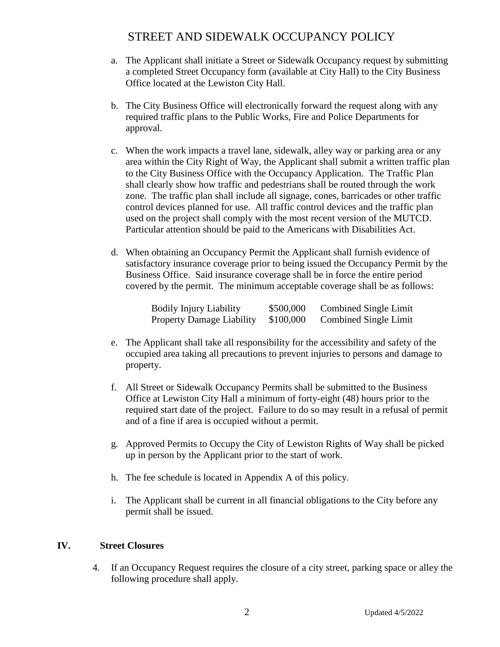- a. The Applicant shall initiate a Street or Sidewalk Occupancy request by submitting a completed Street Occupancy form (available at City Hall) to the City Business Office located at the Lewiston City Hall.
- b. The City Business Office will electronically forward the request along with any required traffic plans to the Public Works, Fire and Police Departments for approval.
- c. When the work impacts a travel lane, sidewalk, alley way or parking area or any area within the City Right of Way, the Applicant shall submit a written traffic plan to the City Business Office with the Occupancy Application. The Traffic Plan shall clearly show how traffic and pedestrians shall be routed through the work zone. The traffic plan shall include all signage, cones, barricades or other traffic control devices planned for use. All traffic control devices and the traffic plan used on the project shall comply with the most recent version of the MUTCD. Particular attention should be paid to the Americans with Disabilities Act.
- d. When obtaining an Occupancy Permit the Applicant shall furnish evidence of satisfactory insurance coverage prior to being issued the Occupancy Permit by the Business Office. Said insurance coverage shall be in force the entire period covered by the permit. The minimum acceptable coverage shall be as follows:

| <b>Bodily Injury Liability</b>   | \$500,000 | Combined Single Limit |
|----------------------------------|-----------|-----------------------|
| <b>Property Damage Liability</b> | \$100,000 | Combined Single Limit |

- e. The Applicant shall take all responsibility for the accessibility and safety of the occupied area taking all precautions to prevent injuries to persons and damage to property.
- f. All Street or Sidewalk Occupancy Permits shall be submitted to the Business Office at Lewiston City Hall a minimum of forty-eight (48) hours prior to the required start date of the project. Failure to do so may result in a refusal of permit and of a fine if area is occupied without a permit.
- g. Approved Permits to Occupy the City of Lewiston Rights of Way shall be picked up in person by the Applicant prior to the start of work.
- h. The fee schedule is located in Appendix A of this policy.
- i. The Applicant shall be current in all financial obligations to the City before any permit shall be issued.

### **IV. Street Closures**

4. If an Occupancy Request requires the closure of a city street, parking space or alley the following procedure shall apply.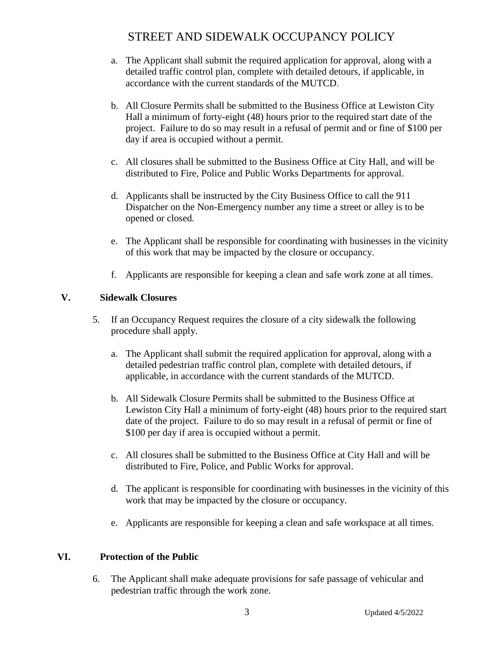- a. The Applicant shall submit the required application for approval, along with a detailed traffic control plan, complete with detailed detours, if applicable, in accordance with the current standards of the MUTCD.
- b. All Closure Permits shall be submitted to the Business Office at Lewiston City Hall a minimum of forty-eight (48) hours prior to the required start date of the project. Failure to do so may result in a refusal of permit and or fine of \$100 per day if area is occupied without a permit.
- c. All closures shall be submitted to the Business Office at City Hall, and will be distributed to Fire, Police and Public Works Departments for approval.
- d. Applicants shall be instructed by the City Business Office to call the 911 Dispatcher on the Non-Emergency number any time a street or alley is to be opened or closed.
- e. The Applicant shall be responsible for coordinating with businesses in the vicinity of this work that may be impacted by the closure or occupancy.
- f. Applicants are responsible for keeping a clean and safe work zone at all times.

## **V. Sidewalk Closures**

- 5. If an Occupancy Request requires the closure of a city sidewalk the following procedure shall apply.
	- a. The Applicant shall submit the required application for approval, along with a detailed pedestrian traffic control plan, complete with detailed detours, if applicable, in accordance with the current standards of the MUTCD.
	- b. All Sidewalk Closure Permits shall be submitted to the Business Office at Lewiston City Hall a minimum of forty-eight (48) hours prior to the required start date of the project. Failure to do so may result in a refusal of permit or fine of \$100 per day if area is occupied without a permit.
	- c. All closures shall be submitted to the Business Office at City Hall and will be distributed to Fire, Police, and Public Works for approval.
	- d. The applicant is responsible for coordinating with businesses in the vicinity of this work that may be impacted by the closure or occupancy.
	- e. Applicants are responsible for keeping a clean and safe workspace at all times.

## **VI. Protection of the Public**

6. The Applicant shall make adequate provisions for safe passage of vehicular and pedestrian traffic through the work zone.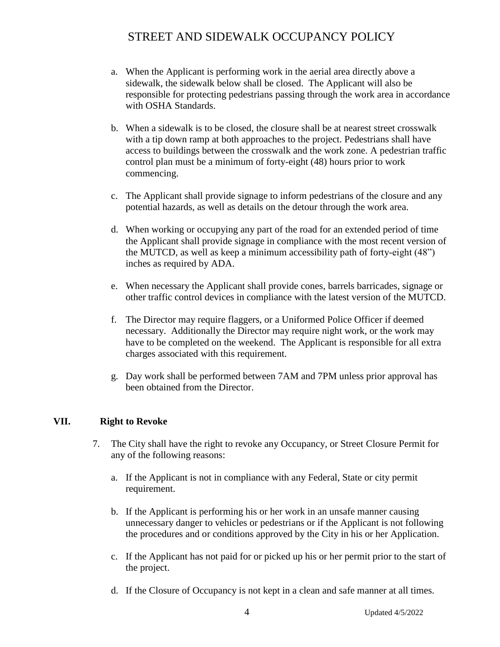- a. When the Applicant is performing work in the aerial area directly above a sidewalk, the sidewalk below shall be closed. The Applicant will also be responsible for protecting pedestrians passing through the work area in accordance with OSHA Standards.
- b. When a sidewalk is to be closed, the closure shall be at nearest street crosswalk with a tip down ramp at both approaches to the project. Pedestrians shall have access to buildings between the crosswalk and the work zone. A pedestrian traffic control plan must be a minimum of forty-eight (48) hours prior to work commencing.
- c. The Applicant shall provide signage to inform pedestrians of the closure and any potential hazards, as well as details on the detour through the work area.
- d. When working or occupying any part of the road for an extended period of time the Applicant shall provide signage in compliance with the most recent version of the MUTCD, as well as keep a minimum accessibility path of forty-eight (48") inches as required by ADA.
- e. When necessary the Applicant shall provide cones, barrels barricades, signage or other traffic control devices in compliance with the latest version of the MUTCD.
- f. The Director may require flaggers, or a Uniformed Police Officer if deemed necessary. Additionally the Director may require night work, or the work may have to be completed on the weekend. The Applicant is responsible for all extra charges associated with this requirement.
- g. Day work shall be performed between 7AM and 7PM unless prior approval has been obtained from the Director.

### **VII. Right to Revoke**

- 7. The City shall have the right to revoke any Occupancy, or Street Closure Permit for any of the following reasons:
	- a. If the Applicant is not in compliance with any Federal, State or city permit requirement.
	- b. If the Applicant is performing his or her work in an unsafe manner causing unnecessary danger to vehicles or pedestrians or if the Applicant is not following the procedures and or conditions approved by the City in his or her Application.
	- c. If the Applicant has not paid for or picked up his or her permit prior to the start of the project.
	- d. If the Closure of Occupancy is not kept in a clean and safe manner at all times.